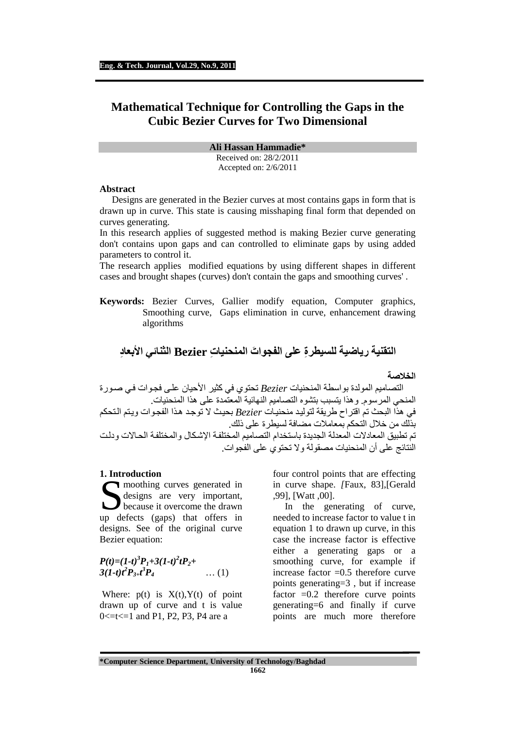# **Mathematical Technique for Controlling the Gaps in the Cubic Bezier Curves for Two Dimensional**

**Ali Hassan Hammadie\*** 

Received on: 28/2/2011 Accepted on: 2/6/2011

#### **Abstract**

Designs are generated in the Bezier curves at most contains gaps in form that is drawn up in curve. This state is causing misshaping final form that depended on curves generating.

In this research applies of suggested method is making Bezier curve generating don't contains upon gaps and can controlled to eliminate gaps by using added parameters to control it.

The research applies modified equations by using different shapes in different cases and brought shapes (curves) don't contain the gaps and smoothing curves' .

**Keywords:** Bezier Curves, Gallier modify equation, Computer graphics, Smoothing curve, Gaps elimination in curve, enhancement drawing algorithms

## **التقنية رياضية ل ِ لسيطرة َ على الفجوات ِ المنحنيات Bezier الثنائي ِ ا"بعاد**

#### الخلاص**ي**ة

التصاميم المولدة بواسطة المنحنيات *Bezier* تحتوي في كثير احيان على فجوات في صورة المنحي المرسوم . وھذا يتسبب بتشوه التصاميم النھائية المعتمدة على ھذا المنحنيات . في ھذا البحث تم اقتراح طريقة لتوليد منحنيات *Bezier* بحيث 8 توجد ھذا الفجوات ويتم التحكم بذلك من خلال التحكم بمعاملات مضافة لسيطرة على ذلك. .<br>تم تطبيق المعادلات المعدلة الجديدة باستخدام التصاميم المختلفة الإشكال و المختلفة الحالات و دلت النتائج على أن المنحنيات مصقولة 8و تحتوي على الفجوات .

#### **1. Introduction**

moothing curves generated in designs are very important, because it overcome the drawn up defects (gaps) that offers in designs. See of the original curve Bezier equation: S<sub>ID</sub>

 $P(t)=(1-t)^3P_1+3(1-t)^2tP_2+$  $3(1-t)t^2P_{3+}t^3P_4$  $\ldots$  (1)

Where:  $p(t)$  is  $X(t), Y(t)$  of point drawn up of curve and t is value  $0 \le t \le 1$  and P1, P2, P3, P4 are a

four control points that are effecting in curve shape. *[*Faux, 83],[Gerald ,99], [Watt ,00].

 In the generating of curve, needed to increase factor to value t in equation 1 to drawn up curve, in this case the increase factor is effective either a generating gaps or a smoothing curve, for example if increase factor =0.5 therefore curve points generating=3 , but if increase factor  $=0.2$  therefore curve points generating=6 and finally if curve points are much more therefore

**\*Computer Science Department, University of Technology/Baghdad** 

**1662**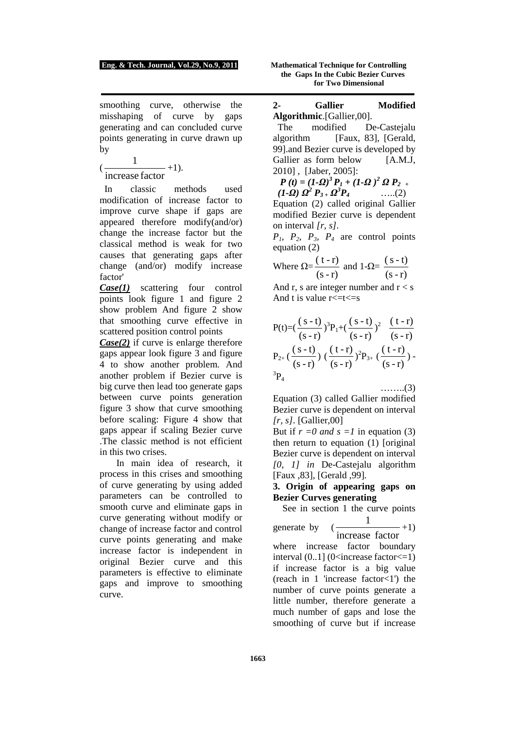#### **Eng. & Tech. Journal, Vol.29, No.9, 2011 Mathematical Technique for Controlling**

smoothing curve, otherwise the misshaping of curve by gaps generating and can concluded curve points generating in curve drawn up by

( increase factor  $\frac{1}{\cdot}$  +1).

 In classic methods used modification of increase factor to improve curve shape if gaps are appeared therefore modify(and/or) change the increase factor but the classical method is weak for two causes that generating gaps after change (and/or) modify increase factor'

*Case(1)* scattering four control points look figure 1 and figure 2 show problem And figure 2 show that smoothing curve effective in scattered position control points

*Case(2)* if curve is enlarge therefore gaps appear look figure 3 and figure 4 to show another problem. And another problem if Bezier curve is big curve then lead too generate gaps between curve points generation figure 3 show that curve smoothing before scaling: Figure 4 show that gaps appear if scaling Bezier curve .The classic method is not efficient in this two crises.

 In main idea of research, it process in this crises and smoothing of curve generating by using added parameters can be controlled to smooth curve and eliminate gaps in curve generating without modify or change of increase factor and control curve points generating and make increase factor is independent in original Bezier curve and this parameters is effective to eliminate gaps and improve to smoothing curve.

 **the Gaps In the Cubic Bezier Curves for Two Dimensional**

**2- Gallier Modified Algorithmic**.[Gallier,00].

 The modified De-Castejalu algorithm [Faux, 83], [Gerald, 99].and Bezier curve is developed by Gallier as form below [A.M.J.] 2010] , [Jaber, 2005]:

*P* (*t*) =  $(I - Q)^3 P_1 + (I - Q)^2 Q P_2 + (I - Q)^3 P_1$ *(1-Ω)*  $Q^2 P_{3+} Q$  $(2)$ 

Equation (2) called original Gallier modified Bezier curve is dependent on interval *[r, s].* 

 $P_1$ ,  $P_2$ ,  $P_3$ ,  $P_4$  are control points equation (2)

Where 
$$
\Omega = \frac{(t-r)}{(s-r)}
$$
 and  $1-\Omega = \frac{(s-t)}{(s-r)}$ 

And r, s are integer number and  $r < s$ And t is value  $r \leq t \leq s$ 

$$
P(t) = \left(\frac{(s-t)}{(s-r)}\right)^3 P_1 + \left(\frac{(s-t)}{(s-r)}\right)^2 \frac{(t-r)}{(s-r)} \nP_{2+} \left(\frac{(s-t)}{(s-r)}\right) \left(\frac{(t-r)}{(s-r)}\right)^2 P_{3+} \left(\frac{(t-r)}{(s-r)}\right) - \frac{3}{2}P_4
$$
\n........(3)

Equation (3) called Gallier modified Bezier curve is dependent on interval *[r, s].* [Gallier,00]

But if  $r = 0$  and  $s = 1$  in equation (3) then return to equation (1) [original Bezier curve is dependent on interval *[0, 1] in* De-Castejalu algorithm [Faux ,83], [Gerald ,99]*.*

### **3. Origin of appearing gaps on Bezier Curves generating**

See in section 1 the curve points

generate by ( increase factor 1  $-+1)$ where increase factor boundary interval  $(0.1]$  (0<increase factor  $\leq$  1) if increase factor is a big value (reach in 1 'increase factor<1') the number of curve points generate a little number, therefore generate a much number of gaps and lose the smoothing of curve but if increase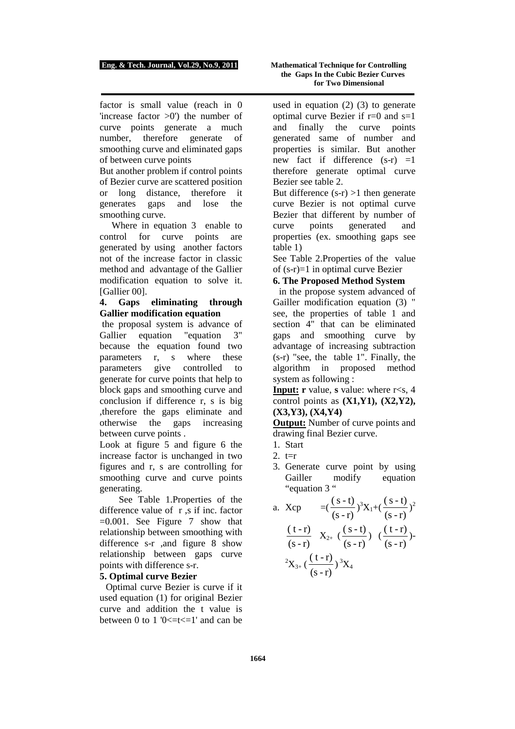factor is small value (reach in 0 'increase factor  $>0$ ') the number of curve points generate a much number, therefore generate of smoothing curve and eliminated gaps of between curve points

But another problem if control points of Bezier curve are scattered position or long distance, therefore it generates gaps and lose the smoothing curve.

Where in equation 3 enable to control for curve points are generated by using another factors not of the increase factor in classic method and advantage of the Gallier modification equation to solve it. [Gallier 00].

#### **4. Gaps eliminating through Gallier modification equation**

 the proposal system is advance of Gallier equation "equation 3" because the equation found two parameters r, s where these parameters give controlled to generate for curve points that help to block gaps and smoothing curve and conclusion if difference r, s is big ,therefore the gaps eliminate and otherwise the gaps increasing between curve points .

Look at figure 5 and figure 6 the increase factor is unchanged in two figures and r, s are controlling for smoothing curve and curve points generating.

 See Table 1.Properties of the difference value of r ,s if inc. factor  $=0.001$ . See Figure 7 show that relationship between smoothing with difference s-r ,and figure 8 show relationship between gaps curve points with difference s-r.

#### **5. Optimal curve Bezier**

Optimal curve Bezier is curve if it used equation (1) for original Bezier curve and addition the t value is between 0 to 1 ' $0 \le t \le 1$ ' and can be

used in equation  $(2)$   $(3)$  to generate optimal curve Bezier if  $r=0$  and  $s=1$ and finally the curve points generated same of number and properties is similar. But another new fact if difference  $(s-r) = 1$ therefore generate optimal curve Bezier see table 2.

But difference  $(s-r) > 1$  then generate curve Bezier is not optimal curve Bezier that different by number of curve points generated and properties (ex. smoothing gaps see table 1)

See Table 2.Properties of the value of (s-r)=1 in optimal curve Bezier

#### **6. The Proposed Method System**

in the propose system advanced of Gailler modification equation (3) " see, the properties of table 1 and section 4" that can be eliminated gaps and smoothing curve by advantage of increasing subtraction (s-r) "see, the table 1". Finally, the algorithm in proposed method system as following :

**Input: r** value, **s** value: where  $r \leq s$ , 4 control points as **(X1,Y1), (X2,Y2), (X3,Y3), (X4,Y4)**

**Output:** Number of curve points and drawing final Bezier curve.

- 1. Start
- 2.  $t=r$
- 3. Generate curve point by using Gailler modify equation "equation 3 "
- a.  $Xcp = ($  $(s-r)$  $\frac{(s-t)}{s}$ <sup>3</sup>X<sub>1</sub>+(  $(s-r)$  $\frac{(s-t)}{s}$ <sup>2</sup>  $(s-r)$  $\frac{(t-r)}{2}$   $X_{2+}$  (  $(s-r)$  $\frac{(s-t)}{s}$ ) (  $(s-r)$  $\frac{(t-r)}{2}$ )- $^{2}X_{3+}$  (  $(s-r)$  $\frac{(t-r)}{(t-r)^3}X_4$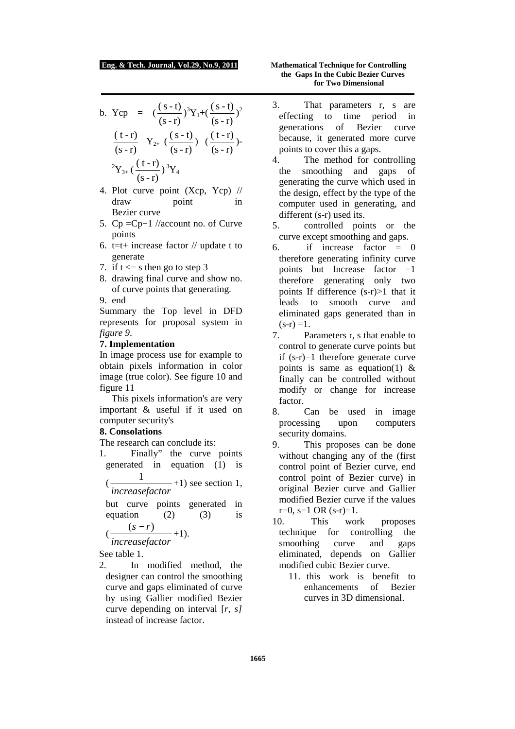b. Ycp = 
$$
(\frac{(s-t)}{(s-r)})^3 Y_1 + (\frac{(s-t)}{(s-r)})^2
$$
  
\n $\frac{(t-r)}{(s-r)} Y_{2+} (\frac{(s-t)}{(s-r)}) (\frac{(t-r)}{(s-r)})^{-2}$   
\n ${}^2Y_{3+} (\frac{(t-r)}{(s-r)})^3 Y_4$ 

- 4. Plot curve point (Xcp, Ycp) // draw point in Bezier curve
- 5.  $Cp = Cp+1$  //account no. of Curve points
- 6. t=t+ increase factor  $//$  update t to generate
- 7. if  $t \leq s$  then go to step 3
- 8. drawing final curve and show no. of curve points that generating.
- 9. end

Summary the Top level in DFD represents for proposal system in *figure 9*.

#### **7. Implementation**

In image process use for example to obtain pixels information in color image (true color). See figure 10 and figure 11

 This pixels information's are very important & useful if it used on computer security's

### **8. Consolations**

The research can conclude its:

1. Finally" the curve points generated in equation (1) is  $\left( \cdot \right)$ 1  $-+1$ ) see section 1,

*increasefactor*

but curve points generated in equation (2)  $(3)$  is  $(s - r)$ 

$$
(\frac{6}{\text{increasefactor}}+1).
$$

See table 1.

2. In modified method, the designer can control the smoothing curve and gaps eliminated of curve by using Gallier modified Bezier curve depending on interval [*r, s]* instead of increase factor.

- 3. That parameters r, s are effecting to time period in generations of Bezier curve because, it generated more curve points to cover this a gaps.
- 4. The method for controlling the smoothing and gaps of generating the curve which used in the design, effect by the type of the computer used in generating, and different (s-r) used its.
- 5. controlled points or the curve except smoothing and gaps.
- 6. if increase factor  $= 0$ therefore generating infinity curve points but Increase factor  $=1$ therefore generating only two points If difference (s-r)>1 that it leads to smooth curve and eliminated gaps generated than in  $(s-r) = 1.$
- 7. Parameters r, s that enable to control to generate curve points but if (s-r)=1 therefore generate curve points is same as equation(1)  $\&$ finally can be controlled without modify or change for increase factor.
- 8. Can be used in image processing upon computers security domains.
- 9. This proposes can be done without changing any of the (first control point of Bezier curve, end control point of Bezier curve) in original Bezier curve and Gallier modified Bezier curve if the values  $r=0$ ,  $s=1$  OR  $(s-r)=1$ .
- 10. This work proposes technique for controlling the smoothing curve and gaps eliminated, depends on Gallier modified cubic Bezier curve.
	- 11. this work is benefit to enhancements of Bezier curves in 3D dimensional.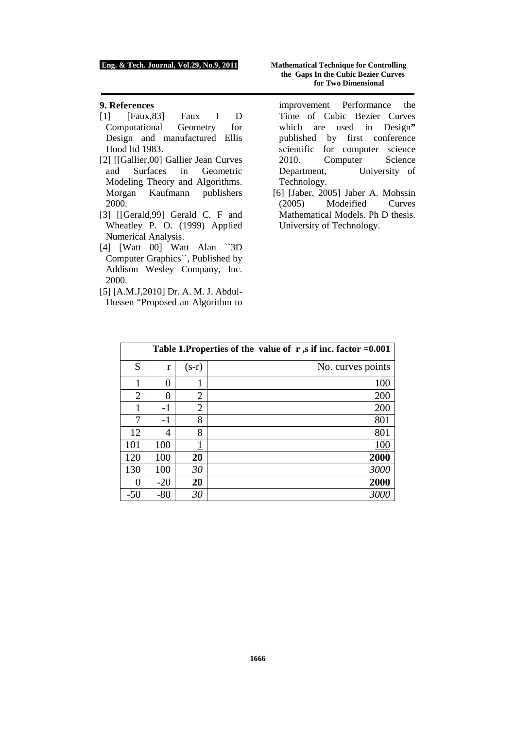#### **9. References**

- [1] [Faux,83] Faux I D Computational Geometry for Design and manufactured Ellis Hood ltd 1983.
- [2] [[Gallier,00] Gallier Jean Curves and Surfaces in Geometric Modeling Theory and Algorithms. Morgan Kaufmann publishers 2000.
- [3] [[Gerald,99] Gerald C. F and Wheatley P. O. (1999) Applied Numerical Analysis.
- [4] [Watt 00] Watt Alan ``3D Computer Graphics``, Published by Addison Wesley Company, Inc. 2000.
- [5] [A.M.J,2010] Dr. A. M. J. Abdul-Hussen "Proposed an Algorithm to

#### **Eng. & Tech. Journal, Vol.29, No.9, 2011 Mathematical Technique for Controlling the Gaps In the Cubic Bezier Curves for Two Dimensional**

improvement Performance the Time of Cubic Bezier Curves which are used in Design" published by first conference scientific for computer science 2010. Computer Science Department, University of Technology.

[6] [Jaber, 2005] Jaber A. Mohssin (2005) Modeified Curves Mathematical Models. Ph D thesis. University of Technology.

| Table 1. Properties of the value of $r$ , s if inc. factor = 0.001 |              |                |                   |  |  |  |
|--------------------------------------------------------------------|--------------|----------------|-------------------|--|--|--|
| S                                                                  | r            | $(s-r)$        | No. curves points |  |  |  |
| 1                                                                  | $\mathbf{0}$ |                | 100               |  |  |  |
| $\overline{2}$                                                     |              | $\overline{2}$ | 200               |  |  |  |
|                                                                    | $-1$         | 2              | 200               |  |  |  |
| 7                                                                  | $-1$         | 8              | 801               |  |  |  |
| 12                                                                 | 4            | 8              | 801               |  |  |  |
| 101                                                                | 100          |                | 100               |  |  |  |
| 120                                                                | 100          | 20             | 2000              |  |  |  |
| 130                                                                | 100          | 30             | 3000              |  |  |  |
| 0                                                                  | $-20$        | 20             | 2000              |  |  |  |
| $-50$                                                              | $-80$        | 30             | 300               |  |  |  |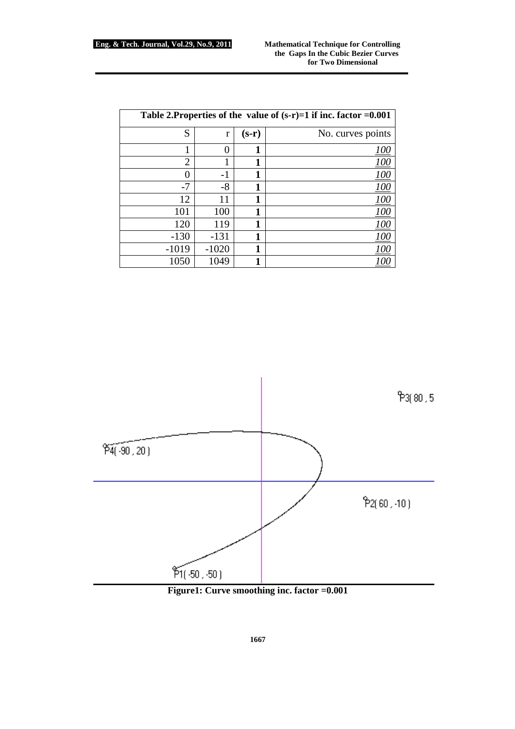| Table 2. Properties of the value of $(s-r)=1$ if inc. factor =0.001 |         |         |                   |  |  |  |
|---------------------------------------------------------------------|---------|---------|-------------------|--|--|--|
| S                                                                   | r       | $(s-r)$ | No. curves points |  |  |  |
|                                                                     |         |         | 100               |  |  |  |
| $\overline{2}$                                                      |         |         |                   |  |  |  |
| 0                                                                   | $-1$    |         | 100               |  |  |  |
| $-7$                                                                | $-8$    |         |                   |  |  |  |
| 12                                                                  | 11      |         | <u> 100</u>       |  |  |  |
| 101                                                                 | 100     |         | <u> 100</u>       |  |  |  |
| 120                                                                 | 119     |         | <u> 100</u>       |  |  |  |
| $-130$                                                              | $-131$  |         | 100               |  |  |  |
| $-1019$                                                             | $-1020$ |         |                   |  |  |  |
| 1050                                                                | 1049    |         |                   |  |  |  |



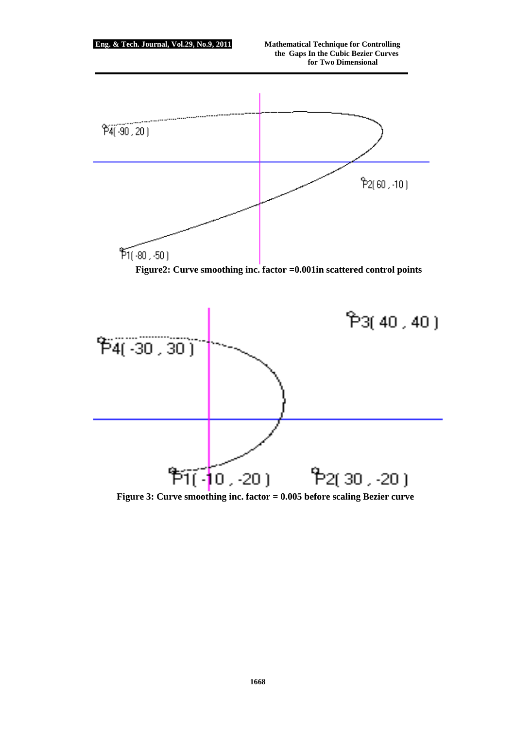

**Figure 3: Curve smoothing inc. factor = 0.005 before scaling Bezier curve**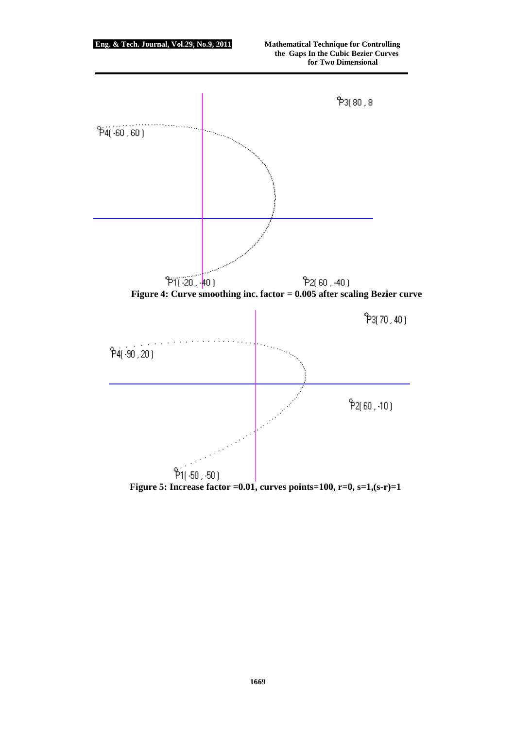

**Figure 5: Increase factor =0.01, curves points=100, r=0, s=1,(s-r)=1**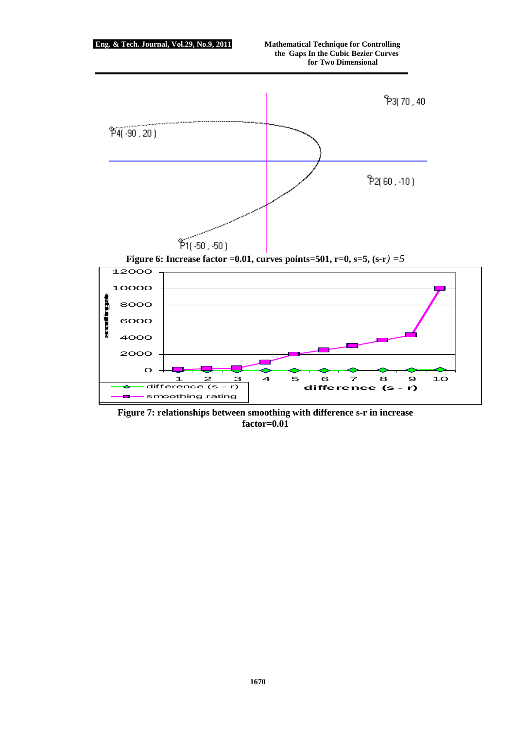

**Figure 7: relationships between smoothing with difference s-r in increase factor=0.01**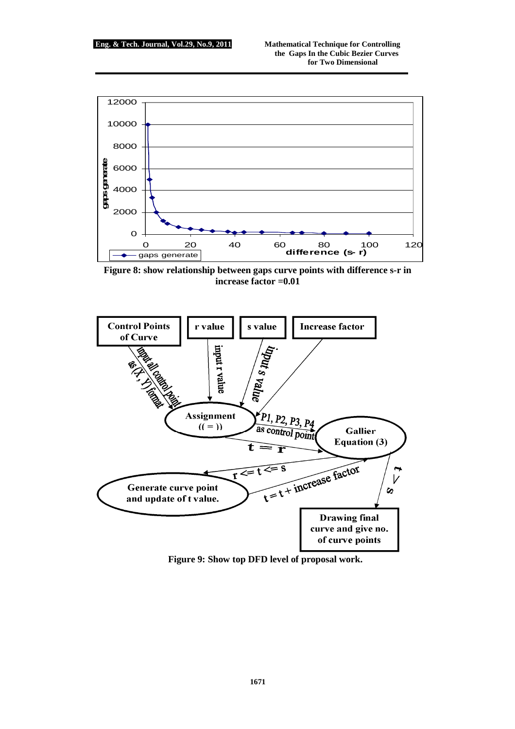

**Figure 8: show relationship between gaps curve points with difference s-r in increase factor =0.01** 



**Figure 9: Show top DFD level of proposal work.**